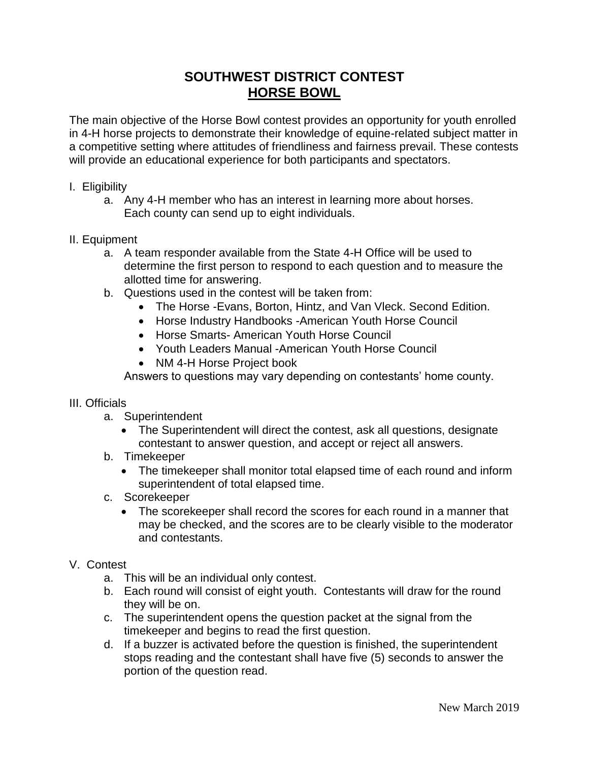# **SOUTHWEST DISTRICT CONTEST HORSE BOWL**

The main objective of the Horse Bowl contest provides an opportunity for youth enrolled in 4-H horse projects to demonstrate their knowledge of equine-related subject matter in a competitive setting where attitudes of friendliness and fairness prevail. These contests will provide an educational experience for both participants and spectators.

## I. Eligibility

a. Any 4-H member who has an interest in learning more about horses. Each county can send up to eight individuals.

## II. Equipment

- a. A team responder available from the State 4-H Office will be used to determine the first person to respond to each question and to measure the allotted time for answering.
- b. Questions used in the contest will be taken from:
	- The Horse -Evans, Borton, Hintz, and Van Vleck. Second Edition.
	- Horse Industry Handbooks -American Youth Horse Council
	- Horse Smarts- American Youth Horse Council
	- Youth Leaders Manual -American Youth Horse Council
	- NM 4-H Horse Project book

Answers to questions may vary depending on contestants' home county.

## III. Officials

- a. Superintendent
	- The Superintendent will direct the contest, ask all questions, designate contestant to answer question, and accept or reject all answers.
- b. Timekeeper
	- The timekeeper shall monitor total elapsed time of each round and inform superintendent of total elapsed time.
- c. Scorekeeper
	- The scorekeeper shall record the scores for each round in a manner that may be checked, and the scores are to be clearly visible to the moderator and contestants.

## V. Contest

- a. This will be an individual only contest.
- b. Each round will consist of eight youth. Contestants will draw for the round they will be on.
- c. The superintendent opens the question packet at the signal from the timekeeper and begins to read the first question.
- d. If a buzzer is activated before the question is finished, the superintendent stops reading and the contestant shall have five (5) seconds to answer the portion of the question read.